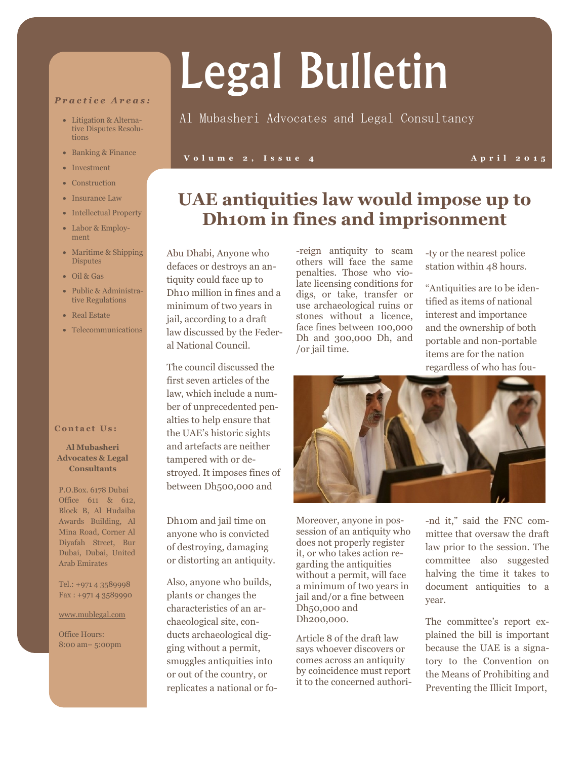#### *P r a c t i c e A r e a s :*

- Litigation & Alternative Disputes Resolutions
- Banking & Finance
- Investment
- Construction
- Insurance Law
- Intellectual Property
- Labor & Employment
- Maritime & Shipping **Disputes**
- Oil & Gas
- Public & Administrative Regulations
- Real Estate
- Telecommunications

#### **Contact Us:**

#### **Al Mubasheri Advocates & Legal Consultants**

P.O.Box. 6178 Dubai Office 611 & 612, Block B, Al Hudaiba Awards Building, Al Mina Road, Corner Al Diyafah Street, Bur Dubai, Dubai, United Arab Emirates

Tel.: +971 4 3589998 Fax : +971 4 3589990

#### www.mublegal.com

Office Hours: 8:00 am– 5:00pm

# Legal Bulletin

### Al Mubasheri Advocates and Legal Consultancy

#### **V o l u m e 2 , I s s u e 4 A p r i l 2 0 1 5**

## **UAE antiquities law would impose up to Dh10m in fines and imprisonment**

Abu Dhabi, Anyone who defaces or destroys an antiquity could face up to Dh10 million in fines and a minimum of two years in jail, according to a draft law discussed by the Federal National Council.

The council discussed the first seven articles of the law, which include a number of unprecedented penalties to help ensure that the UAE's historic sights and artefacts are neither tampered with or destroyed. It imposes fines of between Dh500,000 and

Dh10m and jail time on anyone who is convicted of destroying, damaging or distorting an antiquity.

Also, anyone who builds, plants or changes the characteristics of an archaeological site, conducts archaeological digging without a permit, smuggles antiquities into or out of the country, or replicates a national or fo-reign antiquity to scam others will face the same penalties. Those who violate licensing conditions for digs, or take, transfer or use archaeological ruins or stones without a licence, face fines between 100,000 Dh and 300,000 Dh, and /or jail time.

-ty or the nearest police station within 48 hours.

"Antiquities are to be identified as items of national interest and importance and the ownership of both portable and non-portable items are for the nation regardless of who has fou-



Moreover, anyone in possession of an antiquity who does not properly register it, or who takes action regarding the antiquities without a permit, will face a minimum of two years in jail and/or a fine between Dh50,000 and Dh200,000.

Article 8 of the draft law says whoever discovers or comes across an antiquity by coincidence must report it to the concerned authori-

-nd it," said the FNC committee that oversaw the draft law prior to the session. The committee also suggested halving the time it takes to document antiquities to a year.

The committee's report explained the bill is important because the UAE is a signatory to the Convention on the Means of Prohibiting and Preventing the Illicit Import,